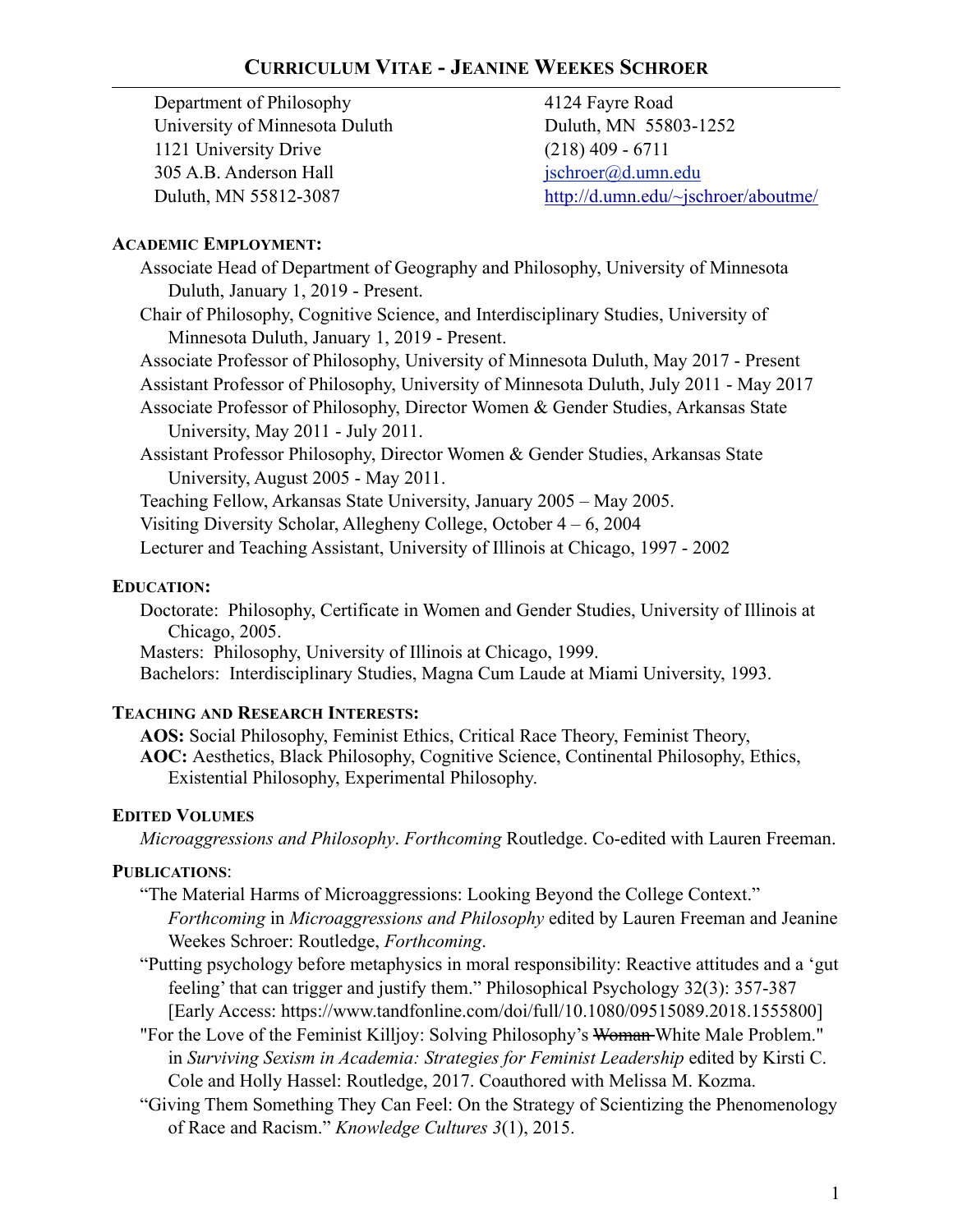Department of Philosophy University of Minnesota Duluth 1121 University Drive 305 A.B. Anderson Hall Duluth, MN 55812-3087

4124 Fayre Road Duluth, MN 55803-1252 (218) 409 - 6711 [jschroer@d.umn.edu](mailto:jschroer@d.umn.edu) <http://d.umn.edu/~jschroer/aboutme/>

#### **ACADEMIC EMPLOYMENT:**

- Associate Head of Department of Geography and Philosophy, University of Minnesota Duluth, January 1, 2019 - Present.
- Chair of Philosophy, Cognitive Science, and Interdisciplinary Studies, University of Minnesota Duluth, January 1, 2019 - Present.
- Associate Professor of Philosophy, University of Minnesota Duluth, May 2017 Present
- Assistant Professor of Philosophy, University of Minnesota Duluth, July 2011 May 2017
- Associate Professor of Philosophy, Director Women & Gender Studies, Arkansas State University, May 2011 - July 2011.
- Assistant Professor Philosophy, Director Women & Gender Studies, Arkansas State University, August 2005 - May 2011.
- Teaching Fellow, Arkansas State University, January 2005 May 2005.
- Visiting Diversity Scholar, Allegheny College, October 4 6, 2004
- Lecturer and Teaching Assistant, University of Illinois at Chicago, 1997 2002

#### **EDUCATION:**

- Doctorate: Philosophy, Certificate in Women and Gender Studies, University of Illinois at Chicago, 2005.
- Masters: Philosophy, University of Illinois at Chicago, 1999.
- Bachelors: Interdisciplinary Studies, Magna Cum Laude at Miami University, 1993.

#### **TEACHING AND RESEARCH INTERESTS:**

**AOS:** Social Philosophy, Feminist Ethics, Critical Race Theory, Feminist Theory, **AOC:** Aesthetics, Black Philosophy, Cognitive Science, Continental Philosophy, Ethics, Existential Philosophy, Experimental Philosophy.

### **EDITED VOLUMES**

*Microaggressions and Philosophy*. *Forthcoming* Routledge. Co-edited with Lauren Freeman.

### **PUBLICATIONS**:

- "The Material Harms of Microaggressions: Looking Beyond the College Context." *Forthcoming* in *Microaggressions and Philosophy* edited by Lauren Freeman and Jeanine Weekes Schroer: Routledge, *Forthcoming*.
- "Putting psychology before metaphysics in moral responsibility: Reactive attitudes and a 'gut feeling' that can trigger and justify them." Philosophical Psychology 32(3): 357-387 [Early Access: https://www.tandfonline.com/doi/full/10.1080/09515089.2018.1555800]
- "For the Love of the Feminist Killjoy: Solving Philosophy's Woman-White Male Problem." in *Surviving Sexism in Academia: Strategies for Feminist Leadership* edited by Kirsti C. Cole and Holly Hassel: Routledge, 2017. Coauthored with Melissa M. Kozma.
- "Giving Them Something They Can Feel: On the Strategy of Scientizing the Phenomenology of Race and Racism." *Knowledge Cultures 3*(1), 2015.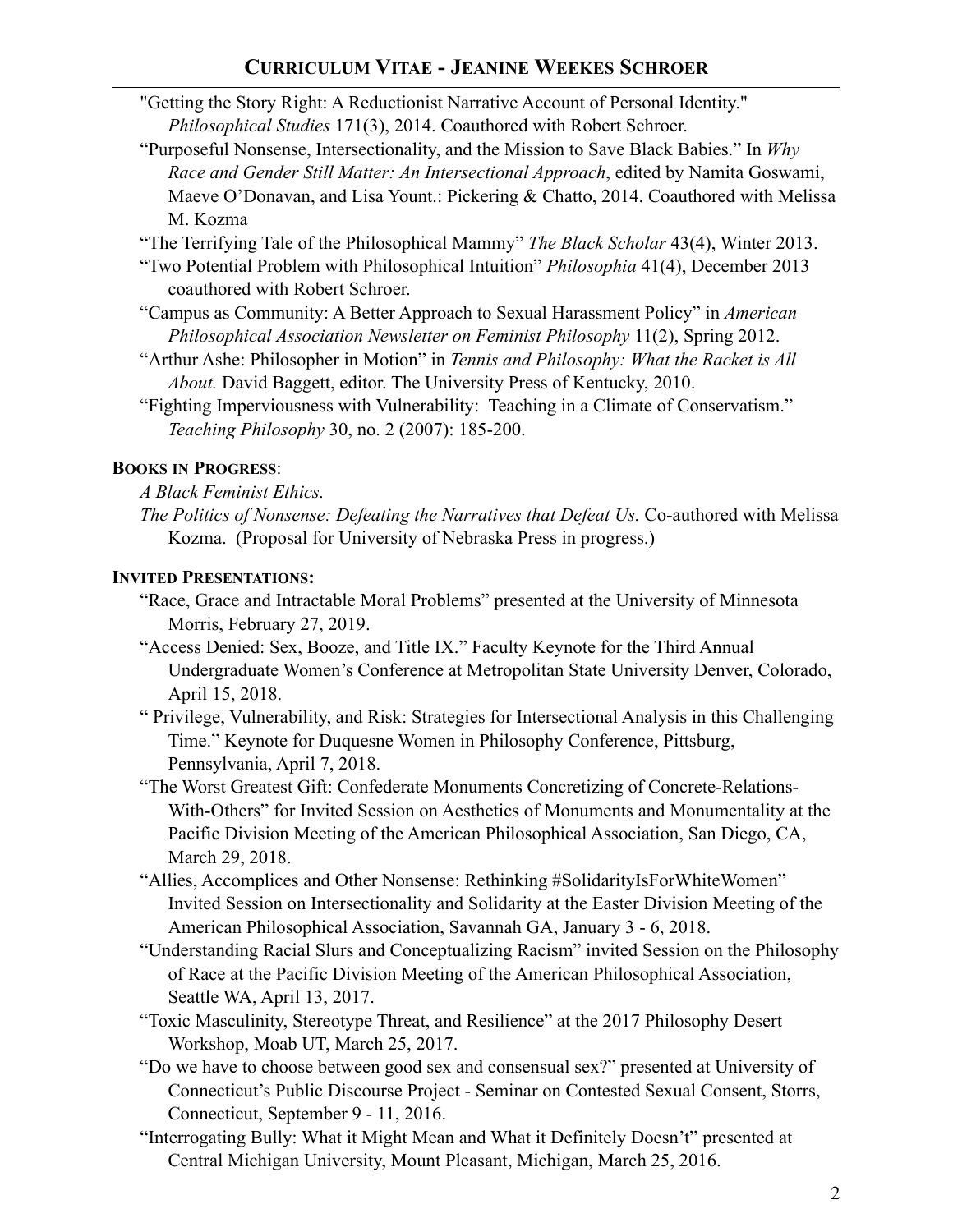- "Getting the Story Right: A Reductionist Narrative Account of Personal Identity." *Philosophical Studies* 171(3), 2014. Coauthored with Robert Schroer.
- "Purposeful Nonsense, Intersectionality, and the Mission to Save Black Babies." In *Why Race and Gender Still Matter: An Intersectional Approach*, edited by Namita Goswami, Maeve O'Donavan, and Lisa Yount.: Pickering & Chatto, 2014. Coauthored with Melissa M. Kozma

"The Terrifying Tale of the Philosophical Mammy" *The Black Scholar* 43(4), Winter 2013.

- "Two Potential Problem with Philosophical Intuition" *Philosophia* 41(4), December 2013 coauthored with Robert Schroer.
- "Campus as Community: A Better Approach to Sexual Harassment Policy" in *American Philosophical Association Newsletter on Feminist Philosophy* 11(2), Spring 2012.
- "Arthur Ashe: Philosopher in Motion" in *Tennis and Philosophy: What the Racket is All About.* David Baggett, editor. The University Press of Kentucky, 2010.
- "Fighting Imperviousness with Vulnerability: Teaching in a Climate of Conservatism." *Teaching Philosophy* 30, no. 2 (2007): 185-200.

#### **BOOKS IN PROGRESS**:

*A Black Feminist Ethics.* 

*The Politics of Nonsense: Defeating the Narratives that Defeat Us.* Co-authored with Melissa Kozma. (Proposal for University of Nebraska Press in progress.)

### **INVITED PRESENTATIONS:**

- "Race, Grace and Intractable Moral Problems" presented at the University of Minnesota Morris, February 27, 2019.
- "Access Denied: Sex, Booze, and Title IX." Faculty Keynote for the Third Annual Undergraduate Women's Conference at Metropolitan State University Denver, Colorado, April 15, 2018.
- " Privilege, Vulnerability, and Risk: Strategies for Intersectional Analysis in this Challenging Time." Keynote for Duquesne Women in Philosophy Conference, Pittsburg, Pennsylvania, April 7, 2018.
- "The Worst Greatest Gift: Confederate Monuments Concretizing of Concrete-Relations-With-Others" for Invited Session on Aesthetics of Monuments and Monumentality at the Pacific Division Meeting of the American Philosophical Association, San Diego, CA, March 29, 2018.
- "Allies, Accomplices and Other Nonsense: Rethinking #SolidarityIsForWhiteWomen" Invited Session on Intersectionality and Solidarity at the Easter Division Meeting of the American Philosophical Association, Savannah GA, January 3 - 6, 2018.
- "Understanding Racial Slurs and Conceptualizing Racism" invited Session on the Philosophy of Race at the Pacific Division Meeting of the American Philosophical Association, Seattle WA, April 13, 2017.
- "Toxic Masculinity, Stereotype Threat, and Resilience" at the 2017 Philosophy Desert Workshop, Moab UT, March 25, 2017.
- "Do we have to choose between good sex and consensual sex?" presented at University of Connecticut's Public Discourse Project - Seminar on Contested Sexual Consent, Storrs, Connecticut, September 9 - 11, 2016.
- "Interrogating Bully: What it Might Mean and What it Definitely Doesn't" presented at Central Michigan University, Mount Pleasant, Michigan, March 25, 2016.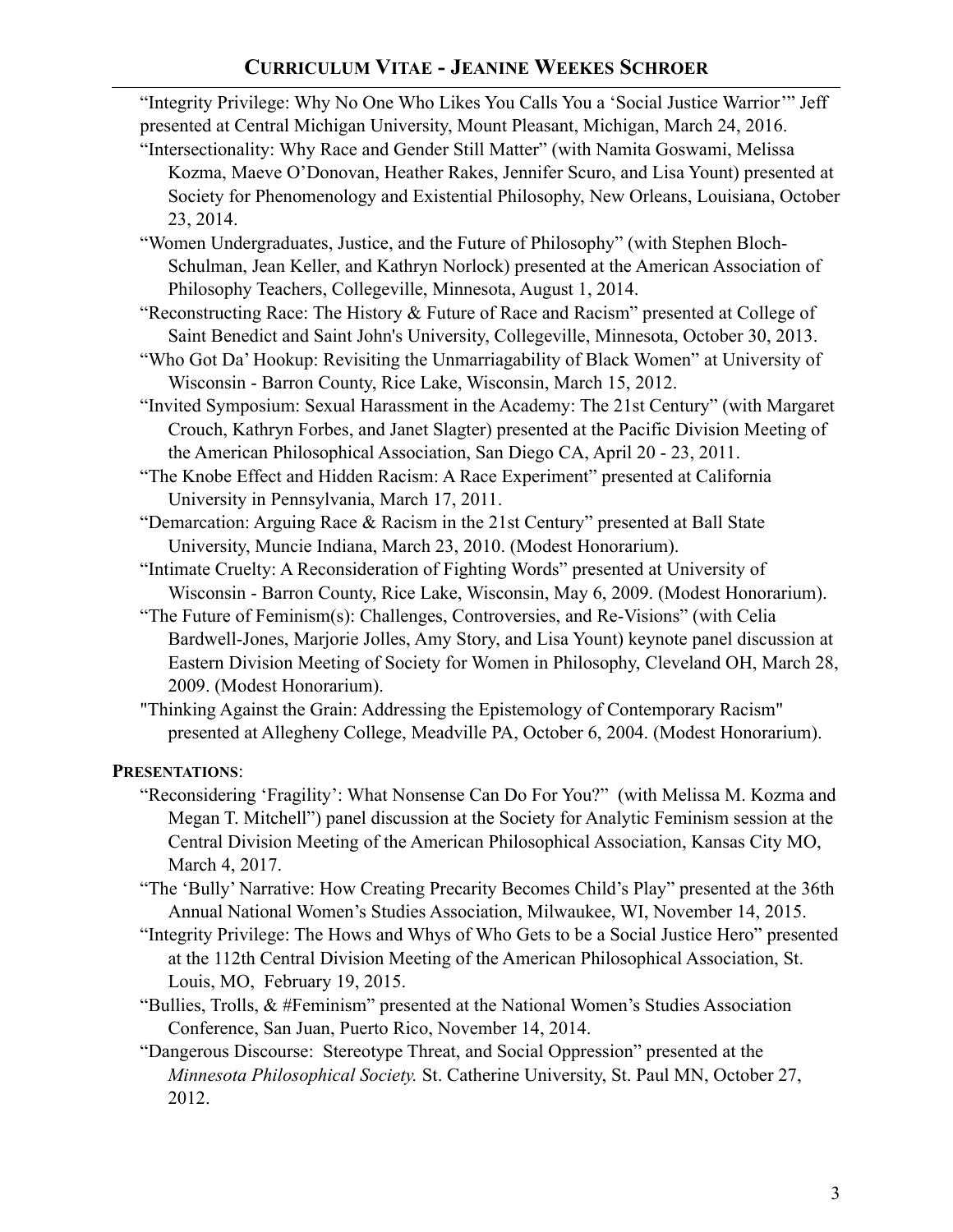"Integrity Privilege: Why No One Who Likes You Calls You a 'Social Justice Warrior'" Jeff presented at Central Michigan University, Mount Pleasant, Michigan, March 24, 2016.

- "Intersectionality: Why Race and Gender Still Matter" (with Namita Goswami, Melissa Kozma, Maeve O'Donovan, Heather Rakes, Jennifer Scuro, and Lisa Yount) presented at Society for Phenomenology and Existential Philosophy, New Orleans, Louisiana, October 23, 2014.
- "Women Undergraduates, Justice, and the Future of Philosophy" (with Stephen Bloch-Schulman, Jean Keller, and Kathryn Norlock) presented at the American Association of Philosophy Teachers, Collegeville, Minnesota, August 1, 2014.
- "Reconstructing Race: The History & Future of Race and Racism" presented at College of Saint Benedict and Saint John's University, Collegeville, Minnesota, October 30, 2013.
- "Who Got Da' Hookup: Revisiting the Unmarriagability of Black Women" at University of Wisconsin - Barron County, Rice Lake, Wisconsin, March 15, 2012.
- "Invited Symposium: Sexual Harassment in the Academy: The 21st Century" (with Margaret Crouch, Kathryn Forbes, and Janet Slagter) presented at the Pacific Division Meeting of the American Philosophical Association, San Diego CA, April 20 - 23, 2011.
- "The Knobe Effect and Hidden Racism: A Race Experiment" presented at California University in Pennsylvania, March 17, 2011.
- "Demarcation: Arguing Race & Racism in the 21st Century" presented at Ball State University, Muncie Indiana, March 23, 2010. (Modest Honorarium).
- "Intimate Cruelty: A Reconsideration of Fighting Words" presented at University of Wisconsin - Barron County, Rice Lake, Wisconsin, May 6, 2009. (Modest Honorarium).
- "The Future of Feminism(s): Challenges, Controversies, and Re-Visions" (with Celia Bardwell-Jones, Marjorie Jolles, Amy Story, and Lisa Yount) keynote panel discussion at Eastern Division Meeting of Society for Women in Philosophy, Cleveland OH, March 28, 2009. (Modest Honorarium).
- "Thinking Against the Grain: Addressing the Epistemology of Contemporary Racism" presented at Allegheny College, Meadville PA, October 6, 2004. (Modest Honorarium).

### **PRESENTATIONS**:

- "Reconsidering 'Fragility': What Nonsense Can Do For You?" (with Melissa M. Kozma and Megan T. Mitchell") panel discussion at the Society for Analytic Feminism session at the Central Division Meeting of the American Philosophical Association, Kansas City MO, March 4, 2017.
- "The 'Bully' Narrative: How Creating Precarity Becomes Child's Play" presented at the 36th Annual National Women's Studies Association, Milwaukee, WI, November 14, 2015.
- "Integrity Privilege: The Hows and Whys of Who Gets to be a Social Justice Hero" presented at the 112th Central Division Meeting of the American Philosophical Association, St. Louis, MO, February 19, 2015.
- "Bullies, Trolls, & #Feminism" presented at the National Women's Studies Association Conference, San Juan, Puerto Rico, November 14, 2014.
- "Dangerous Discourse: Stereotype Threat, and Social Oppression" presented at the *Minnesota Philosophical Society.* St. Catherine University, St. Paul MN, October 27, 2012.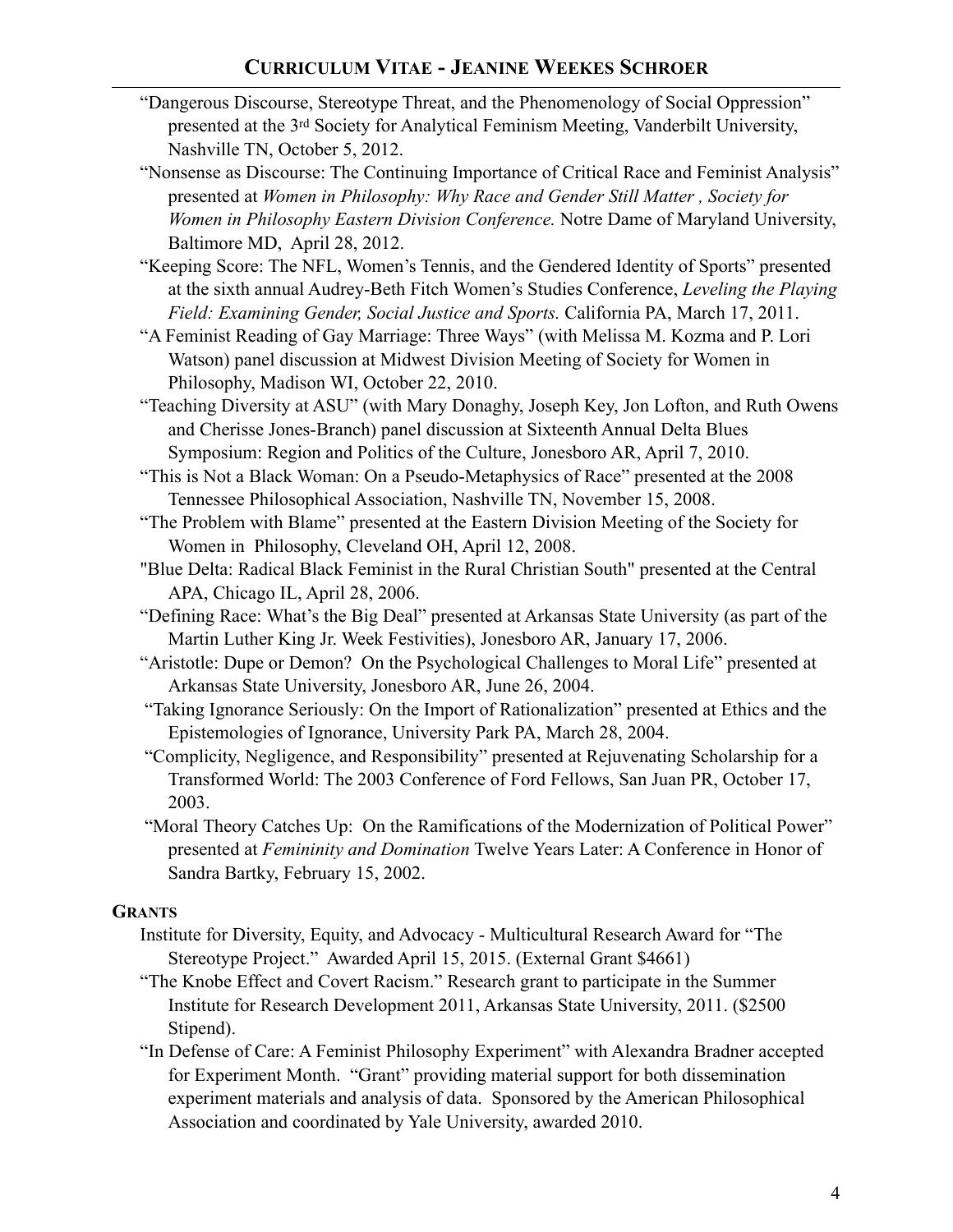- "Dangerous Discourse, Stereotype Threat, and the Phenomenology of Social Oppression" presented at the 3rd Society for Analytical Feminism Meeting, Vanderbilt University, Nashville TN, October 5, 2012.
- "Nonsense as Discourse: The Continuing Importance of Critical Race and Feminist Analysis" presented at *Women in Philosophy: Why Race and Gender Still Matter , Society for Women in Philosophy Eastern Division Conference.* Notre Dame of Maryland University, Baltimore MD, April 28, 2012.
- "Keeping Score: The NFL, Women's Tennis, and the Gendered Identity of Sports" presented at the sixth annual Audrey-Beth Fitch Women's Studies Conference, *Leveling the Playing Field: Examining Gender, Social Justice and Sports.* California PA, March 17, 2011.
- "A Feminist Reading of Gay Marriage: Three Ways" (with Melissa M. Kozma and P. Lori Watson) panel discussion at Midwest Division Meeting of Society for Women in Philosophy, Madison WI, October 22, 2010.
- "Teaching Diversity at ASU" (with Mary Donaghy, Joseph Key, Jon Lofton, and Ruth Owens and Cherisse Jones-Branch) panel discussion at Sixteenth Annual Delta Blues Symposium: Region and Politics of the Culture, Jonesboro AR, April 7, 2010.
- "This is Not a Black Woman: On a Pseudo-Metaphysics of Race" presented at the 2008 Tennessee Philosophical Association, Nashville TN, November 15, 2008.
- "The Problem with Blame" presented at the Eastern Division Meeting of the Society for Women in Philosophy, Cleveland OH, April 12, 2008.
- "Blue Delta: Radical Black Feminist in the Rural Christian South" presented at the Central APA, Chicago IL, April 28, 2006.
- "Defining Race: What's the Big Deal" presented at Arkansas State University (as part of the Martin Luther King Jr. Week Festivities), Jonesboro AR, January 17, 2006.
- "Aristotle: Dupe or Demon? On the Psychological Challenges to Moral Life" presented at Arkansas State University, Jonesboro AR, June 26, 2004.
- "Taking Ignorance Seriously: On the Import of Rationalization" presented at Ethics and the Epistemologies of Ignorance, University Park PA, March 28, 2004.
- "Complicity, Negligence, and Responsibility" presented at Rejuvenating Scholarship for a Transformed World: The 2003 Conference of Ford Fellows, San Juan PR, October 17, 2003.
- "Moral Theory Catches Up: On the Ramifications of the Modernization of Political Power" presented at *Femininity and Domination* Twelve Years Later: A Conference in Honor of Sandra Bartky, February 15, 2002.

# **GRANTS**

- Institute for Diversity, Equity, and Advocacy Multicultural Research Award for "The Stereotype Project." Awarded April 15, 2015. (External Grant \$4661)
- "The Knobe Effect and Covert Racism." Research grant to participate in the Summer Institute for Research Development 2011, Arkansas State University, 2011. (\$2500 Stipend).
- "In Defense of Care: A Feminist Philosophy Experiment" with Alexandra Bradner accepted for Experiment Month. "Grant" providing material support for both dissemination experiment materials and analysis of data. Sponsored by the American Philosophical Association and coordinated by Yale University, awarded 2010.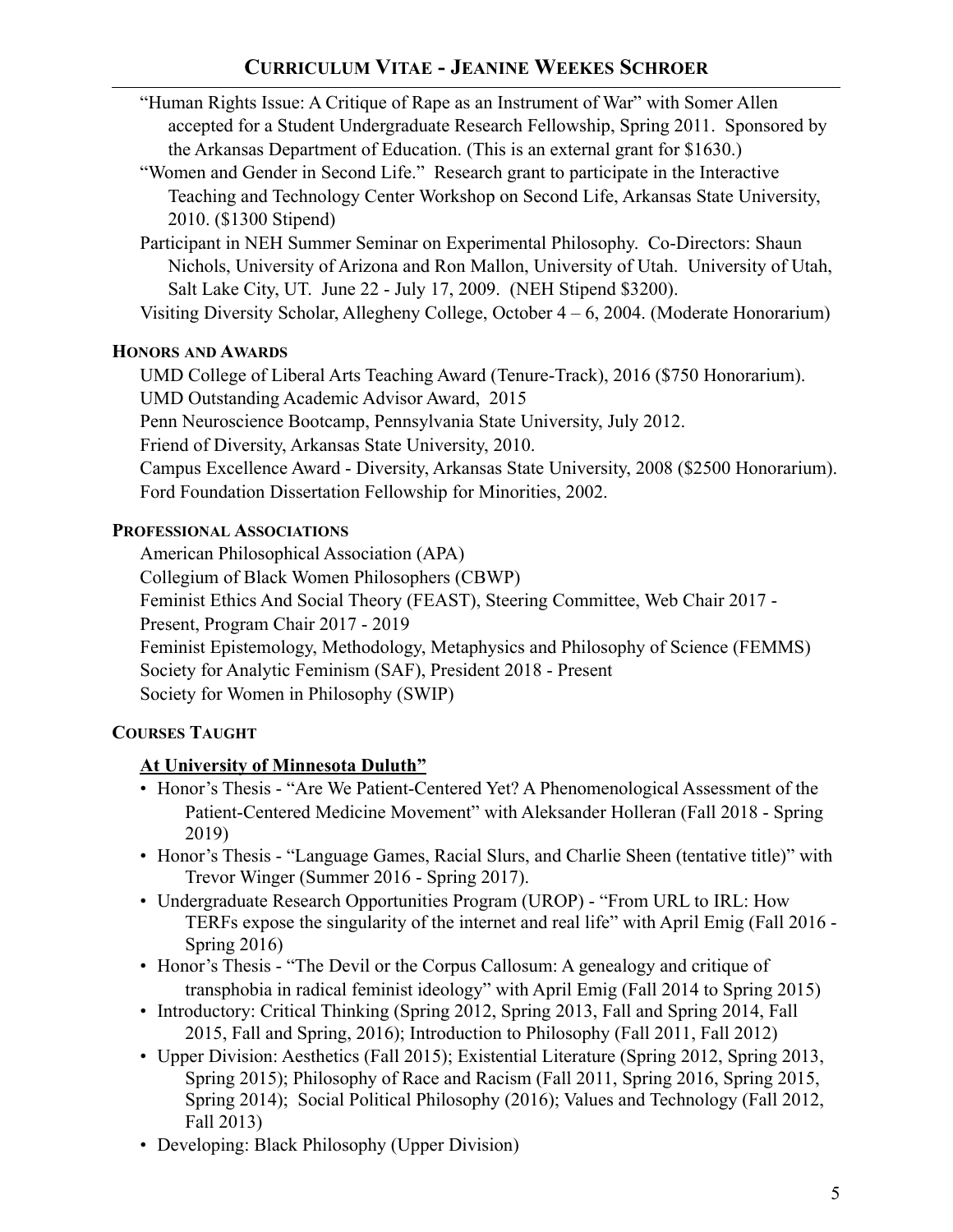- "Human Rights Issue: A Critique of Rape as an Instrument of War" with Somer Allen accepted for a Student Undergraduate Research Fellowship, Spring 2011. Sponsored by the Arkansas Department of Education. (This is an external grant for \$1630.)
- "Women and Gender in Second Life." Research grant to participate in the Interactive Teaching and Technology Center Workshop on Second Life, Arkansas State University, 2010. (\$1300 Stipend)
- Participant in NEH Summer Seminar on Experimental Philosophy. Co-Directors: Shaun Nichols, University of Arizona and Ron Mallon, University of Utah. University of Utah, Salt Lake City, UT. June 22 - July 17, 2009. (NEH Stipend \$3200).

Visiting Diversity Scholar, Allegheny College, October 4 – 6, 2004. (Moderate Honorarium)

# **HONORS AND AWARDS**

UMD College of Liberal Arts Teaching Award (Tenure-Track), 2016 (\$750 Honorarium). UMD Outstanding Academic Advisor Award, 2015 Penn Neuroscience Bootcamp, Pennsylvania State University, July 2012. Friend of Diversity, Arkansas State University, 2010. Campus Excellence Award - Diversity, Arkansas State University, 2008 (\$2500 Honorarium). Ford Foundation Dissertation Fellowship for Minorities, 2002.

# **PROFESSIONAL ASSOCIATIONS**

American Philosophical Association (APA)

Collegium of Black Women Philosophers (CBWP)

Feminist Ethics And Social Theory (FEAST), Steering Committee, Web Chair 2017 -

Present, Program Chair 2017 - 2019

Feminist Epistemology, Methodology, Metaphysics and Philosophy of Science (FEMMS) Society for Analytic Feminism (SAF), President 2018 - Present Society for Women in Philosophy (SWIP)

# **COURSES TAUGHT**

# **At University of Minnesota Duluth"**

- Honor's Thesis "Are We Patient-Centered Yet? A Phenomenological Assessment of the Patient-Centered Medicine Movement" with Aleksander Holleran (Fall 2018 - Spring 2019)
- Honor's Thesis "Language Games, Racial Slurs, and Charlie Sheen (tentative title)" with Trevor Winger (Summer 2016 - Spring 2017).
- Undergraduate Research Opportunities Program (UROP) "From URL to IRL: How TERFs expose the singularity of the internet and real life" with April Emig (Fall 2016 - Spring 2016)
- Honor's Thesis "The Devil or the Corpus Callosum: A genealogy and critique of transphobia in radical feminist ideology" with April Emig (Fall 2014 to Spring 2015)
- Introductory: Critical Thinking (Spring 2012, Spring 2013, Fall and Spring 2014, Fall 2015, Fall and Spring, 2016); Introduction to Philosophy (Fall 2011, Fall 2012)
- Upper Division: Aesthetics (Fall 2015); Existential Literature (Spring 2012, Spring 2013, Spring 2015); Philosophy of Race and Racism (Fall 2011, Spring 2016, Spring 2015, Spring 2014); Social Political Philosophy (2016); Values and Technology (Fall 2012, Fall 2013)
- Developing: Black Philosophy (Upper Division)